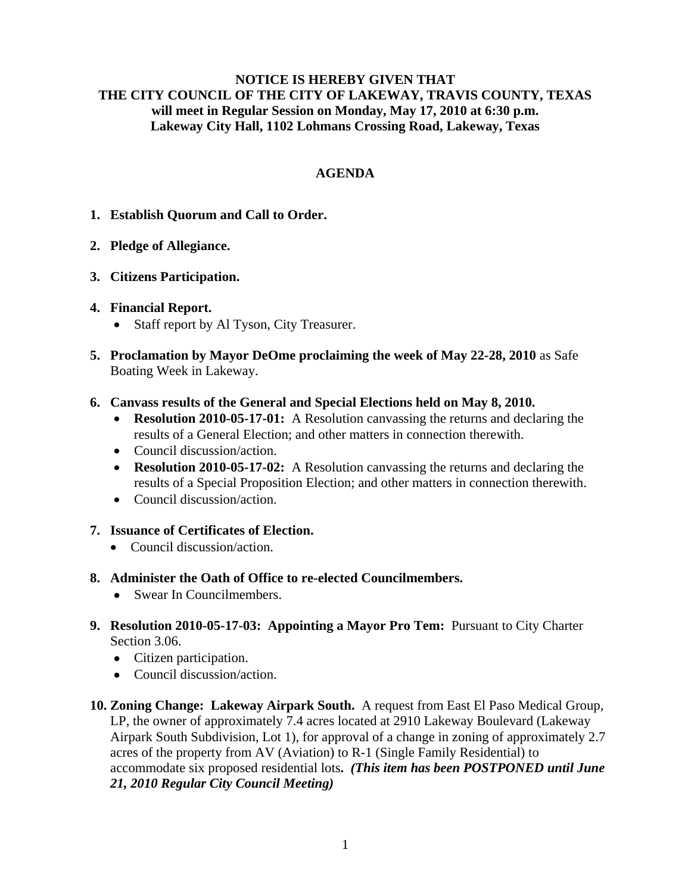## **NOTICE IS HEREBY GIVEN THAT THE CITY COUNCIL OF THE CITY OF LAKEWAY, TRAVIS COUNTY, TEXAS will meet in Regular Session on Monday, May 17, 2010 at 6:30 p.m. Lakeway City Hall, 1102 Lohmans Crossing Road, Lakeway, Texas**

# **AGENDA**

- **1. Establish Quorum and Call to Order.**
- **2. Pledge of Allegiance.**
- **3. Citizens Participation.**

## **4. Financial Report.**

- Staff report by Al Tyson, City Treasurer.
- **5. Proclamation by Mayor DeOme proclaiming the week of May 22-28, 2010** as Safe Boating Week in Lakeway.
- **6. Canvass results of the General and Special Elections held on May 8, 2010.** 
	- **Resolution 2010-05-17-01:** A Resolution canvassing the returns and declaring the results of a General Election; and other matters in connection therewith.
	- Council discussion/action.
	- **Resolution 2010-05-17-02:** A Resolution canvassing the returns and declaring the results of a Special Proposition Election; and other matters in connection therewith.
	- Council discussion/action.
- **7. Issuance of Certificates of Election.** 
	- Council discussion/action.
- **8. Administer the Oath of Office to re-elected Councilmembers.** 
	- Swear In Councilmembers.
- **9. Resolution 2010-05-17-03: Appointing a Mayor Pro Tem:** Pursuant to City Charter Section 3.06.
	- Citizen participation.
	- Council discussion/action.
- **10. Zoning Change: Lakeway Airpark South.** A request from East El Paso Medical Group, LP, the owner of approximately 7.4 acres located at 2910 Lakeway Boulevard (Lakeway Airpark South Subdivision, Lot 1), for approval of a change in zoning of approximately 2.7 acres of the property from AV (Aviation) to R-1 (Single Family Residential) to accommodate six proposed residential lots**.** *(This item has been POSTPONED until June 21, 2010 Regular City Council Meeting)*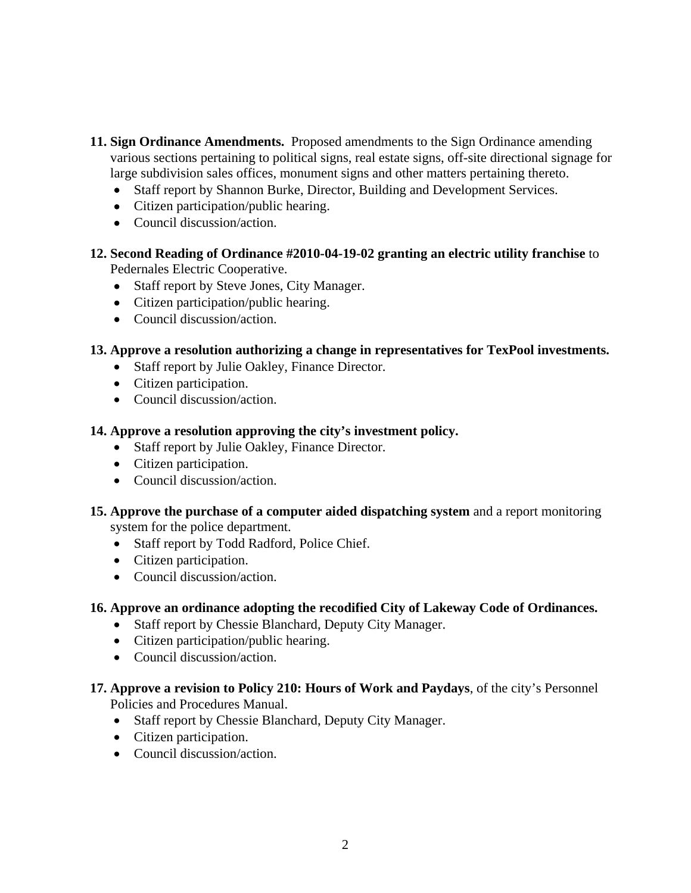- **11. Sign Ordinance Amendments.** Proposed amendments to the Sign Ordinance amending various sections pertaining to political signs, real estate signs, off-site directional signage for large subdivision sales offices, monument signs and other matters pertaining thereto.
	- Staff report by Shannon Burke, Director, Building and Development Services.
	- Citizen participation/public hearing.
	- Council discussion/action.
- **12. Second Reading of Ordinance #2010-04-19-02 granting an electric utility franchise** to Pedernales Electric Cooperative.
	- Staff report by Steve Jones, City Manager.
	- Citizen participation/public hearing.
	- Council discussion/action.

## **13. Approve a resolution authorizing a change in representatives for TexPool investments.**

- Staff report by Julie Oakley, Finance Director.
- Citizen participation.
- Council discussion/action.

## **14. Approve a resolution approving the city's investment policy.**

- Staff report by Julie Oakley, Finance Director.
- Citizen participation.
- Council discussion/action.

## **15. Approve the purchase of a computer aided dispatching system** and a report monitoring system for the police department.

- Staff report by Todd Radford, Police Chief.
- Citizen participation.
- Council discussion/action.

# **16. Approve an ordinance adopting the recodified City of Lakeway Code of Ordinances.**

- Staff report by Chessie Blanchard, Deputy City Manager.
- Citizen participation/public hearing.
- Council discussion/action.
- **17. Approve a revision to Policy 210: Hours of Work and Paydays**, of the city's Personnel Policies and Procedures Manual.
	- Staff report by Chessie Blanchard, Deputy City Manager.
	- Citizen participation.
	- Council discussion/action.